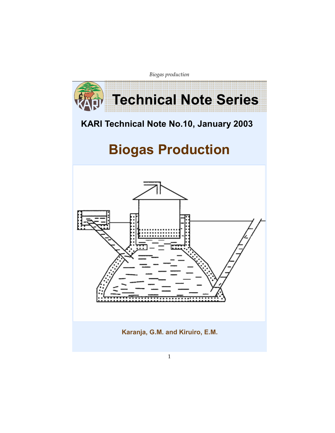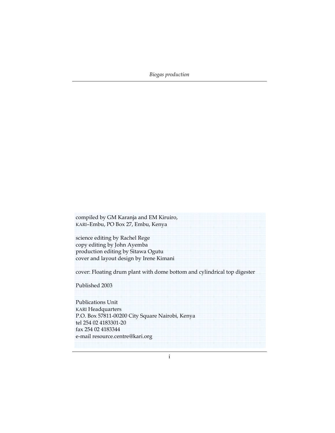compiled by GM Karanja and EM Kiruiro, KARI–Embu, PO Box 27, Embu, Kenya

science editing by Rachel Rege copy editing by John Ayemba production editing by Sitawa Ogutu cover and layout design by Irene Kimani

cover: Floating drum plant with dome bottom and cylindrical top digester

Published 2003

Publications Unit KARI Headquarters P.O. Box 57811-00200 City Square Nairobi, Kenya tel 254 02 4183301-20 fax 254 02 4183344 e-mail resource.centre@kari.org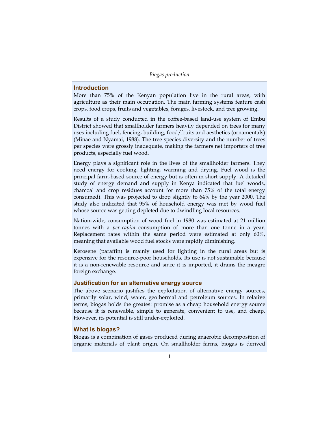### Introduction

More than 75% of the Kenyan population live in the rural areas, with agriculture as their main occupation. The main farming systems feature cash crops, food crops, fruits and vegetables, forages, livestock, and tree growing.

Results of a study conducted in the coffee-based land-use system of Embu District showed that smallholder farmers heavily depended on trees for many uses including fuel, fencing, building, food/fruits and aesthetics (ornamentals) (Minae and Nyamai, 1988). The tree species diversity and the number of trees per species were grossly inadequate, making the farmers net importers of tree products, especially fuel wood.

Energy plays a significant role in the lives of the smallholder farmers. They need energy for cooking, lighting, warming and drying. Fuel wood is the principal farm-based source of energy but is often in short supply. A detailed study of energy demand and supply in Kenya indicated that fuel woods, charcoal and crop residues account for more than 75% of the total energy consumed). This was projected to drop slightly to 64% by the year 2000. The study also indicated that 95% of household energy was met by wood fuel whose source was getting depleted due to dwindling local resources.

Nation-wide, consumption of wood fuel in 1980 was estimated at 21 million tonnes with a per capita consumption of more than one tonne in a year. Replacement rates within the same period were estimated at only 60%, meaning that available wood fuel stocks were rapidly diminishing.

Kerosene (paraffin) is mainly used for lighting in the rural areas but is expensive for the resource-poor households. Its use is not sustainable because it is a non-renewable resource and since it is imported, it drains the meagre foreign exchange.

# Justification for an alternative energy source

The above scenario justifies the exploitation of alternative energy sources, primarily solar, wind, water, geothermal and petroleum sources. In relative terms, biogas holds the greatest promise as a cheap household energy source because it is renewable, simple to generate, convenient to use, and cheap. However, its potential is still under-exploited.

### What is biogas?

Biogas is a combination of gases produced during anaerobic decomposition of organic materials of plant origin. On smallholder farms, biogas is derived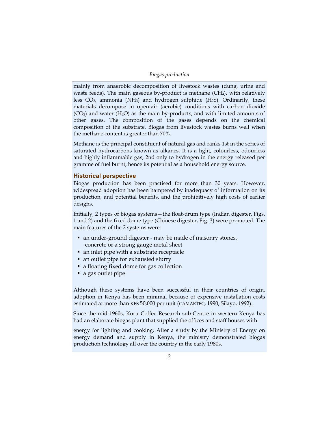mainly from anaerobic decomposition of livestock wastes (dung, urine and waste feeds). The main gaseous by-product is methane (CH<sub>4</sub>), with relatively less  $CO<sub>2</sub>$ , ammonia (NH<sub>3</sub>) and hydrogen sulphide (H<sub>2</sub>S). Ordinarily, these materials decompose in open-air (aerobic) conditions with carbon dioxide  $(CO<sub>2</sub>)$  and water  $(H<sub>2</sub>O)$  as the main by-products, and with limited amounts of other gases. The composition of the gases depends on the chemical composition of the substrate. Biogas from livestock wastes burns well when the methane content is greater than 70%.

Methane is the principal constituent of natural gas and ranks 1st in the series of saturated hydrocarbons known as alkanes. It is a light, colourless, odourless and highly inflammable gas, 2nd only to hydrogen in the energy released per gramme of fuel burnt, hence its potential as a household energy source.

#### Historical perspective

Biogas production has been practised for more than 30 years. However, widespread adoption has been hampered by inadequacy of information on its production, and potential benefits, and the prohibitively high costs of earlier designs.

Initially, 2 types of biogas systems—the float-drum type (Indian digester, Figs. 1 and 2) and the fixed dome type (Chinese digester, Fig. 3) were promoted. The main features of the 2 systems were:

- an under-ground digester may be made of masonry stones, concrete or a strong gauge metal sheet
- an inlet pipe with a substrate receptacle
- an outlet pipe for exhausted slurry
- a floating fixed dome for gas collection
- a gas outlet pipe

Although these systems have been successful in their countries of origin, adoption in Kenya has been minimal because of expensive installation costs estimated at more than KES 50,000 per unit (CAMARTEC, 1990, Silayo, 1992).

Since the mid-1960s, Koru Coffee Research sub-Centre in western Kenya has had an elaborate biogas plant that supplied the offices and staff houses with

energy for lighting and cooking. After a study by the Ministry of Energy on energy demand and supply in Kenya, the ministry demonstrated biogas production technology all over the country in the early 1980s.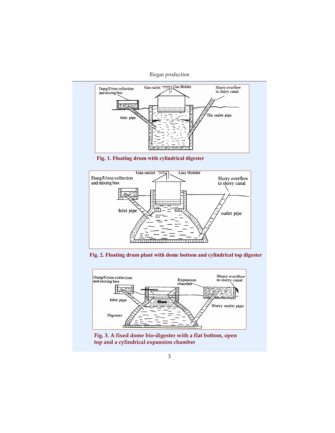Biogas production



Fig. 1. Floating drum with cylindrical digester



Fig. 2. Floating drum plant with dome bottom and cylindrical top digester



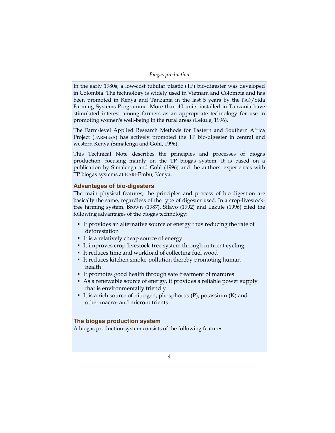| Biogas production |  |  |  |
|-------------------|--|--|--|
|-------------------|--|--|--|

In the early 1980s, a low-cost tubular plastic (TP) bio-digester was developed in Colombia. The technology is widely used in Vietnam and Colombia and has been promoted in Kenya and Tanzania in the last 5 years by the FAO/Sida Farming Systems Programme. More than 40 units installed in Tanzania have stimulated interest among farmers as an appropriate technology for use in promoting women's well-being in the rural areas (Lekule, 1996).

The Farm-level Applied Research Methods for Eastern and Southern Africa Project (FARMESA) has actively promoted the TP bio-digester in central and western Kenya (Simalenga and Gohl, 1996).

This Technical Note describes the principles and processes of biogas production, focusing mainly on the TP biogas system. It is based on a publication by Simalenga and Gohl (1996) and the authors' experiences with TP biogas systems at KARI-Embu, Kenya.

### Advantages of bio-digesters

The main physical features, the principles and process of bio-digestion are basically the same, regardless of the type of digester used. In a crop-livestocktree farming system, Brown (1987), Silayo (1992) and Lekule (1996) cited the following advantages of the biogas technology:

- It provides an alternative source of energy thus reducing the rate of deforestation
- It is a relatively cheap source of energy
- It improves crop-livestock-tree system through nutrient cycling
- It reduces time and workload of collecting fuel wood
- It reduces kitchen smoke-pollution thereby promoting human health
- It promotes good health through safe treatment of manures
- As a renewable source of energy, it provides a reliable power supply that is environmentally friendly
- It is a rich source of nitrogen, phosphorus  $(P)$ , potassium  $(K)$  and other macro- and micronutrients

# The biogas production system

A biogas production system consists of the following features: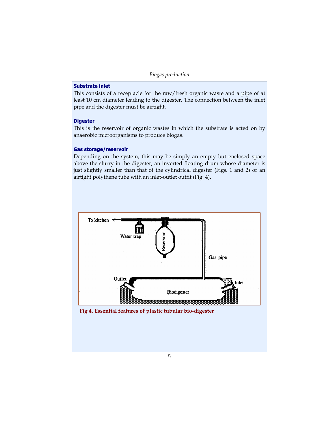# Substrate inlet

This consists of a receptacle for the raw/fresh organic waste and a pipe of at least 10 cm diameter leading to the digester. The connection between the inlet pipe and the digester must be airtight.

### **Digester**

This is the reservoir of organic wastes in which the substrate is acted on by anaerobic microorganisms to produce biogas.

### Gas storage/reservoir

Depending on the system, this may be simply an empty but enclosed space above the slurry in the digester, an inverted floating drum whose diameter is just slightly smaller than that of the cylindrical digester (Figs. 1 and 2) or an airtight polythene tube with an inlet-outlet outfit (Fig. 4).



Fig 4. Essential features of plastic tubular bio-digester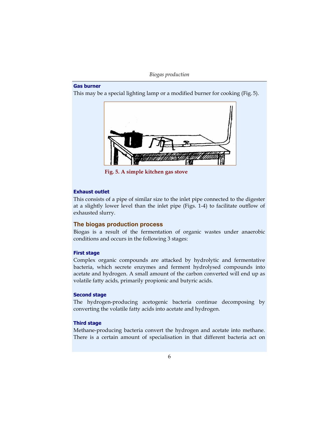# Gas burner

This may be a special lighting lamp or a modified burner for cooking (Fig. 5).



Fig. 5. A simple kitchen gas stove

### Exhaust outlet

This consists of a pipe of similar size to the inlet pipe connected to the digester at a slightly lower level than the inlet pipe (Figs. 1-4) to facilitate outflow of exhausted slurry.

## The biogas production process

Biogas is a result of the fermentation of organic wastes under anaerobic conditions and occurs in the following 3 stages:

#### First stage

Complex organic compounds are attacked by hydrolytic and fermentative bacteria, which secrete enzymes and ferment hydrolysed compounds into acetate and hydrogen. A small amount of the carbon converted will end up as volatile fatty acids, primarily propionic and butyric acids.

### Second stage

The hydrogen-producing acetogenic bacteria continue decomposing by converting the volatile fatty acids into acetate and hydrogen.

#### Third stage

Methane-producing bacteria convert the hydrogen and acetate into methane. There is a certain amount of specialisation in that different bacteria act on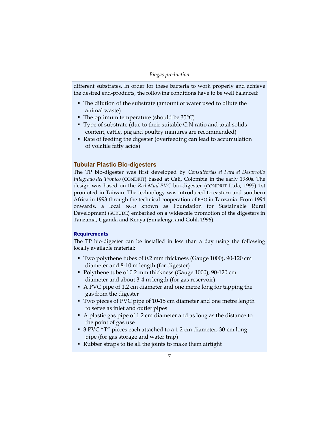different substrates. In order for these bacteria to work properly and achieve the desired end-products, the following conditions have to be well balanced:

- The dilution of the substrate (amount of water used to dilute the animal waste)
- $\blacksquare$  The optimum temperature (should be 35 $\degree$ C)
- Type of substrate (due to their suitable C:N ratio and total solids content, cattle, pig and poultry manures are recommended)
- Rate of feeding the digester (overfeeding can lead to accumulation of volatile fatty acids)

## Tubular Plastic Bio-digesters

The TP bio-digester was first developed by Consultorias el Para el Desarrollo Integrado del Tropico (CONDRIT) based at Cali, Colombia in the early 1980s. The design was based on the Red Mud PVC bio-digester (CONDRIT Ltda, 1995) 1st promoted in Taiwan. The technology was introduced to eastern and southern Africa in 1993 through the technical cooperation of FAO in Tanzania. From 1994 onwards, a local NGO known as Foundation for Sustainable Rural Development (SURUDE) embarked on a widescale promotion of the digesters in Tanzania, Uganda and Kenya (Simalenga and Gohl, 1996).

### **Requirements**

The TP bio-digester can be installed in less than a day using the following locally available material:

- Two polythene tubes of 0.2 mm thickness (Gauge 1000), 90-120 cm diameter and 8-10 m length (for digester)
- Polythene tube of 0.2 mm thickness (Gauge 1000), 90-120 cm diameter and about 3-4 m length (for gas reservoir)
- A PVC pipe of 1.2 cm diameter and one metre long for tapping the gas from the digester
- Two pieces of PVC pipe of 10-15 cm diameter and one metre length to serve as inlet and outlet pipes
- A plastic gas pipe of 1.2 cm diameter and as long as the distance to the point of gas use
- 3 PVC "T" pieces each attached to a 1.2-cm diameter, 30-cm long pipe (for gas storage and water trap)
- Rubber straps to tie all the joints to make them airtight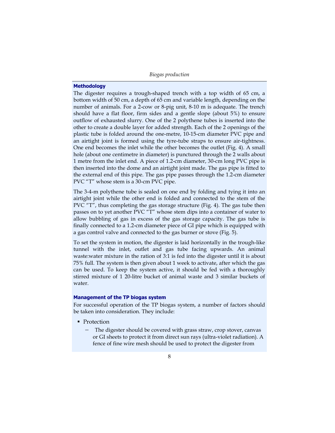### **Methodology**

The digester requires a trough-shaped trench with a top width of 65 cm, a bottom width of 50 cm, a depth of 65 cm and variable length, depending on the number of animals. For a 2-cow or 8-pig unit, 8-10 m is adequate. The trench should have a flat floor, firm sides and a gentle slope (about 5%) to ensure outflow of exhausted slurry. One of the 2 polythene tubes is inserted into the other to create a double layer for added strength. Each of the 2 openings of the plastic tube is folded around the one-metre, 10-15-cm diameter PVC pipe and an airtight joint is formed using the tyre-tube straps to ensure air-tightness. One end becomes the inlet while the other becomes the outlet (Fig. 4). A small hole (about one centimetre in diameter) is punctured through the 2 walls about 1 metre from the inlet end. A piece of 1.2-cm diameter, 30-cm long PVC pipe is then inserted into the dome and an airtight joint made. The gas pipe is fitted to the external end of this pipe. The gas pipe passes through the 1.2-cm diameter PVC "T" whose stem is a 30-cm PVC pipe.

The 3-4-m polythene tube is sealed on one end by folding and tying it into an airtight joint while the other end is folded and connected to the stem of the PVC "T", thus completing the gas storage structure (Fig. 4). The gas tube then passes on to yet another PVC "T" whose stem dips into a container of water to allow bubbling of gas in excess of the gas storage capacity. The gas tube is finally connected to a 1.2-cm diameter piece of GI pipe which is equipped with a gas control valve and connected to the gas burner or stove (Fig. 5).

To set the system in motion, the digester is laid horizontally in the trough-like tunnel with the inlet, outlet and gas tube facing upwards. An animal waste:water mixture in the ration of 3:1 is fed into the digester until it is about 75% full. The system is then given about 1 week to activate, after which the gas can be used. To keep the system active, it should be fed with a thoroughly stirred mixture of 1 20-litre bucket of animal waste and 3 similar buckets of water.

#### Management of the TP biogas system

For successful operation of the TP biogas system, a number of factors should be taken into consideration. They include:

- Protection
	- − The digester should be covered with grass straw, crop stover, canvas or GI sheets to protect it from direct sun rays (ultra-violet radiation). A fence of fine wire mesh should be used to protect the digester from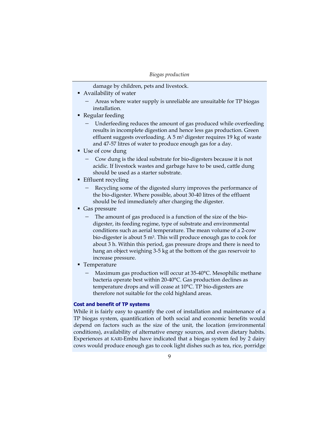damage by children, pets and livestock.

- Availability of water
	- − Areas where water supply is unreliable are unsuitable for TP biogas installation.
- Regular feeding
	- Underfeeding reduces the amount of gas produced while overfeeding results in incomplete digestion and hence less gas production. Green effluent suggests overloading. A  $5 \text{ m}^3$  digester requires 19 kg of waste and 47-57 litres of water to produce enough gas for a day.
- Use of cow dung
	- − Cow dung is the ideal substrate for bio-digesters because it is not acidic. If livestock wastes and garbage have to be used, cattle dung should be used as a starter substrate.
- **Effluent recycling** 
	- − Recycling some of the digested slurry improves the performance of the bio-digester. Where possible, about 30-40 litres of the effluent should be fed immediately after charging the digester.
- Gas pressure
	- − The amount of gas produced is a function of the size of the biodigester, its feeding regime, type of substrate and environmental conditions such as aerial temperature. The mean volume of a 2-cow bio-digester is about 5 m<sup>3</sup>. This will produce enough gas to cook for about 3 h. Within this period, gas pressure drops and there is need to hang an object weighing 3-5 kg at the bottom of the gas reservoir to increase pressure.
- Temperature
	- − Maximum gas production will occur at 35-40°C. Mesophilic methane bacteria operate best within 20-40°C. Gas production declines as temperature drops and will cease at 10°C. TP bio-digesters are therefore not suitable for the cold highland areas.

#### Cost and benefit of TP systems

While it is fairly easy to quantify the cost of installation and maintenance of a TP biogas system, quantification of both social and economic benefits would depend on factors such as the size of the unit, the location (environmental conditions), availability of alternative energy sources, and even dietary habits. Experiences at KARI-Embu have indicated that a biogas system fed by 2 dairy cows would produce enough gas to cook light dishes such as tea, rice, porridge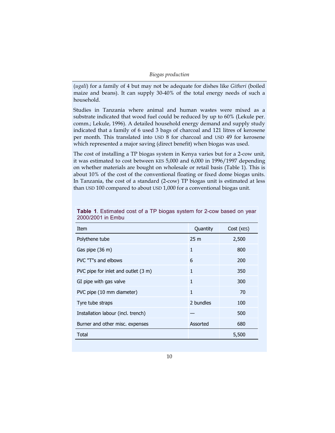| Biogas production |  |  |  |
|-------------------|--|--|--|
|-------------------|--|--|--|

(ugali) for a family of 4 but may not be adequate for dishes like Githeri (boiled maize and beans). It can supply 30-40% of the total energy needs of such a household.

Studies in Tanzania where animal and human wastes were mixed as a substrate indicated that wood fuel could be reduced by up to 60% (Lekule per. comm.; Lekule, 1996). A detailed household energy demand and supply study indicated that a family of 6 used 3 bags of charcoal and 121 litres of kerosene per month. This translated into USD 8 for charcoal and USD 49 for kerosene which represented a major saving (direct benefit) when biogas was used.

The cost of installing a TP biogas system in Kenya varies but for a 2-cow unit, it was estimated to cost between KES 5,000 and 6,000 in 1996/1997 depending on whether materials are bought on wholesale or retail basis (Table 1). This is about 10% of the cost of the conventional floating or fixed dome biogas units. In Tanzania, the cost of a standard (2-cow) TP biogas unit is estimated at less than USD 100 compared to about USD 1,000 for a conventional biogas unit.

| ZUUU/ZUU I III LIIIUU               |                 |            |  |  |
|-------------------------------------|-----------------|------------|--|--|
| Item                                | Quantity        | Cost (KES) |  |  |
| Polythene tube                      | 25 <sub>m</sub> | 2,500      |  |  |
| Gas pipe (36 m)                     | 1               | 800        |  |  |
| PVC "T"s and elbows                 | 6               | 200        |  |  |
| PVC pipe for inlet and outlet (3 m) | 1               | 350        |  |  |
| GI pipe with gas valve              | $\mathbf{1}$    | 300        |  |  |
| PVC pipe (10 mm diameter)           | 1               | 70         |  |  |
| Tyre tube straps                    | 2 bundles       | 100        |  |  |
| Installation labour (incl. trench)  |                 | 500        |  |  |
| Burner and other misc. expenses     | Assorted        | 680        |  |  |
| Total                               |                 | 5,500      |  |  |

Table 1. Estimated cost of a TP biogas system for 2-cow based on year 2000/2001 in Embu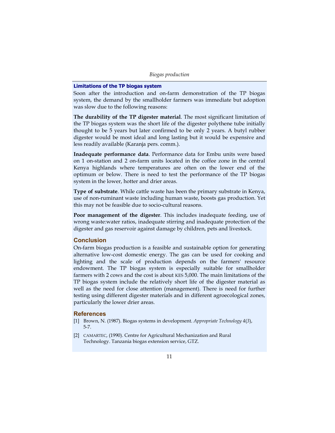### Limitations of the TP biogas system

Soon after the introduction and on-farm demonstration of the TP biogas system, the demand by the smallholder farmers was immediate but adoption was slow due to the following reasons:

The durability of the TP digester material. The most significant limitation of the TP biogas system was the short life of the digester polythene tube initially thought to be 5 years but later confirmed to be only 2 years. A butyl rubber digester would be most ideal and long lasting but it would be expensive and less readily available (Karanja pers. comm.).

Inadequate performance data. Performance data for Embu units were based on 1 on-station and 2 on-farm units located in the coffee zone in the central Kenya highlands where temperatures are often on the lower end of the optimum or below. There is need to test the performance of the TP biogas system in the lower, hotter and drier areas.

Type of substrate. While cattle waste has been the primary substrate in Kenya, use of non-ruminant waste including human waste, boosts gas production. Yet this may not be feasible due to socio-cultural reasons.

Poor management of the digester. This includes inadequate feeding, use of wrong waste:water ratios, inadequate stirring and inadequate protection of the digester and gas reservoir against damage by children, pets and livestock.

# **Conclusion**

On-farm biogas production is a feasible and sustainable option for generating alternative low-cost domestic energy. The gas can be used for cooking and lighting and the scale of production depends on the farmers' resource endowment. The TP biogas system is especially suitable for smallholder farmers with 2 cows and the cost is about KES 5,000. The main limitations of the TP biogas system include the relatively short life of the digester material as well as the need for close attention (management). There is need for further testing using different digester materials and in different agroecological zones, particularly the lower drier areas.

### **References**

- [1] Brown, N. (1987). Biogas systems in development. Appropriate Technology 4(3), 5-7.
- [2] CAMARTEC, (1990). Centre for Agricultural Mechanization and Rural Technology. Tanzania biogas extension service, GTZ.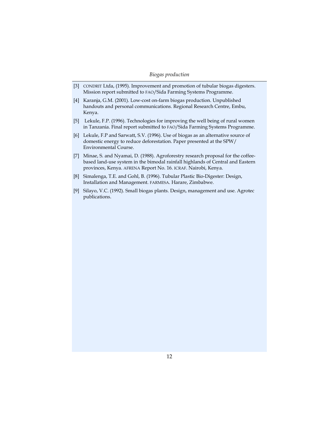- [3] CONDRIT Ltda, (1995). Improvement and promotion of tubular biogas digesters. Mission report submitted to FAO/Sida Farming Systems Programme.
- [4] Karanja, G.M. (2001). Low-cost on-farm biogas production. Unpublished handouts and personal communications. Regional Research Centre, Embu, Kenya.
- [5] Lekule, F.P. (1996). Technologies for improving the well being of rural women in Tanzania. Final report submitted to FAO/Sida Farming Systems Programme.
- [6] Lekule, F.P and Sarwatt, S.V. (1996). Use of biogas as an alternative source of domestic energy to reduce deforestation. Paper presented at the SPW/ Environmental Course.
- [7] Minae, S. and Nyamai, D. (1988). Agroforestry research proposal for the coffeebased land-use system in the bimodal rainfall highlands of Central and Eastern provinces, Kenya. AFRENA Report No. 16. ICRAF. Nairobi, Kenya.
- [8] Simalenga, T.E. and Gohl, B. (1996). Tubular Plastic Bio-Digester: Design, Installation and Management. FARMESA. Harare, Zimbabwe.
- [9] Silayo, V.C. (1992). Small biogas plants. Design, management and use. Agrotec publications.